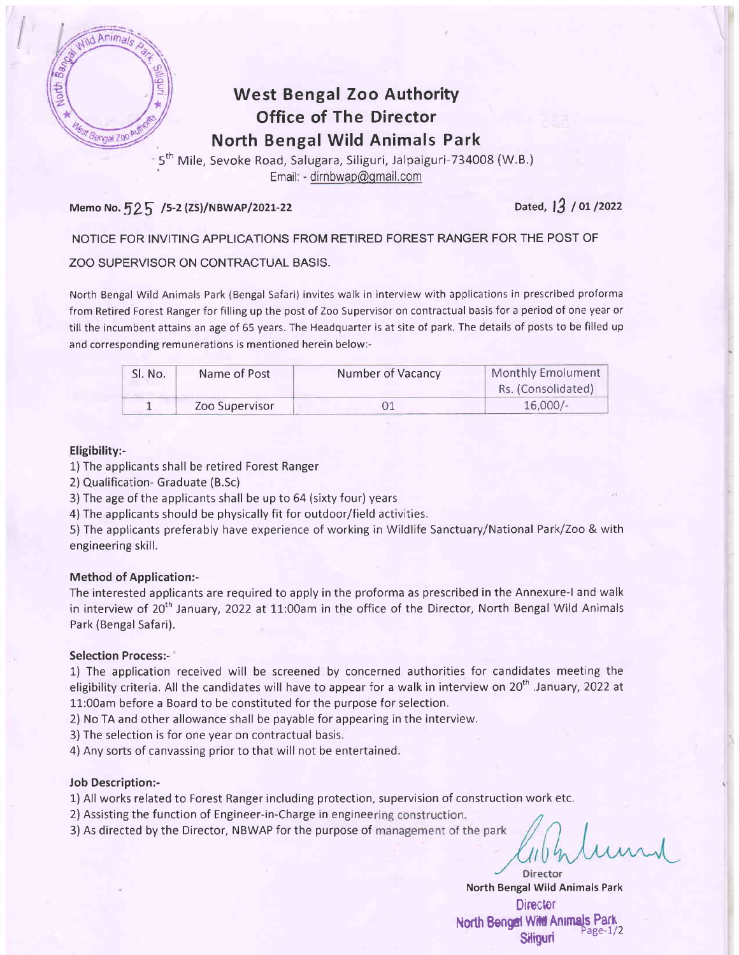

I

## West Bengal Zoo Authority Office of The Director North Bengal Wild Animals Park

5<sup>th</sup> Mile, Sevoke Road, Salugara, Siliguri, Jalpaiguri-734008 (W.B.) Email: - dirnbwap@qmail.com

### Memo No.  $525/5$ -2 (ZS)/NBWAP/2021-22 Dated, 13 / 01 /2022

#### NOTICE FOR INVITING APPLICATIONS FROM RETIRED FOREST RANGER FOR THE POST OF

#### ZOO SUPERVISOR ON CONTRACTUAL BASIS.

North Bengal Wild Animals Park (Bengal Safari) invites walk in interview with applications in prescribed proforma from Retired Forest Ranger for filling up the post of Zoo Supervisor on contractual basis for a period of one year or till the incumbent attains an age of 65 years. The Headquarter is at site of park. The details of posts to be filled up and corresponding remunerations is mentioned herein below:-

| Sl. No. | Name of Post   | Number of Vacancy | Monthly Emolument  |
|---------|----------------|-------------------|--------------------|
|         |                |                   | Rs. (Consolidated) |
|         | Zoo Supervisor |                   | 16,000/            |

#### Eligibility:-

- 1) The applicants shall be retired Forest Ranger
- 2) Qualification- Graduate (B.Sc)
- 3)The age of the applicants shall be up to 64 (sixty four) years
- 4) The applicants should be physically fit for outdoor/field activities,

5) The applicants preferably have experience of working in Wildlife Sanctuary/National Park/Zoo & with engineering skill.

#### Method of Application:-

The interested applicants are required to apply in the proforma as prescribed in the Annexure-l and walk in interview of  $20<sup>th</sup>$  January, 2022 at 11:00am in the office of the Director, North Bengal Wild Animals Park (Bengal Safari).

#### Selection Process:-

1) The application received will be screened by concerned authorities for candidates meeting the eligibility criteria. All the candidates will have to appear for a walk in interview on 20<sup>th</sup> .January, 2022 at 11:O0am before a Board to be constituted for the purpose for selection.

2) No TA and other allowance shall be payable for appearing in the interview.

3) The selection is for one year on contractual basis.

4) Any sorts of canvassing prior to that will not be entertained.

#### Job Description:-

1) All works related to Forest Ranger including protection, supervision of construction work etc.

2) Assisting the function of Engineer-in-Charge in engineering construction.

3) As directed by the Director, NBWAP for the purpose of management of the park

Director North Bengal Wild Animals Park **Director** North Bengal Wild Animals Park Siliguri Page-1/2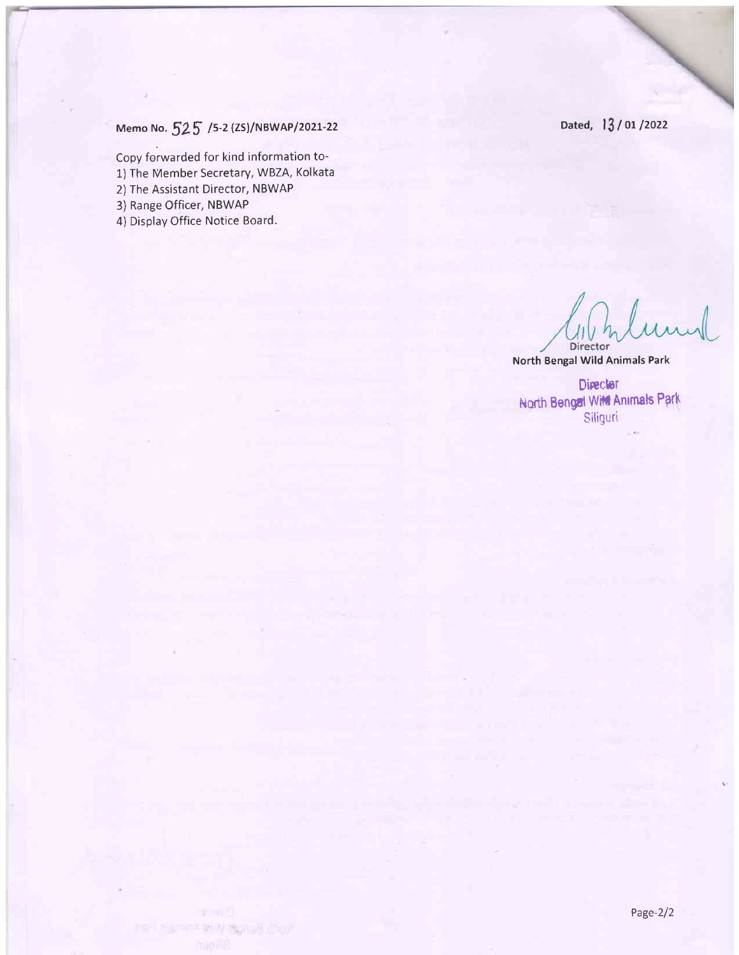Dated, 13/01/2022

# Memo No.  $525$  /5-2 (ZS)/NBWAP/2021-22

Copy forwarded for kind information to-

1) fhe Member Secretary, WBZA, Kolkata

2) The Assistant Director, NBWAP

3) Range Officer, NBWAP

4) Display Office Notice Board.

Director

North Bengal Wild Animals Park

Director North Bengal Wild Animals Park **Siliguri** 

he I than it in 4 mona6 Unu